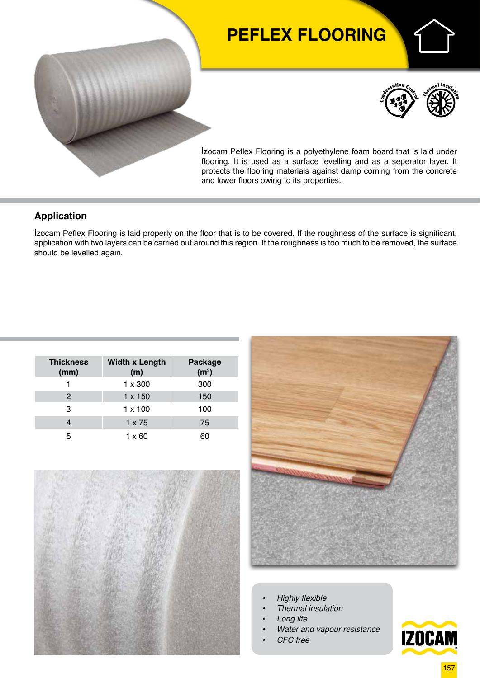# **PEFLEX FLOORING**





İzocam Peflex Flooring is a polyethylene foam board that is laid under flooring. It is used as a surface levelling and as a seperator layer. It protects the flooring materials against damp coming from the concrete and lower floors owing to its properties.

### **Application**

İzocam Peflex Flooring is laid properly on the floor that is to be covered. If the roughness of the surface is significant, application with two layers can be carried out around this region. If the roughness is too much to be removed, the surface should be levelled again.

| <b>Thickness</b><br>(mm) | <b>Width x Length</b><br>(m) | <b>Package</b><br>(m <sup>2</sup> ) |  |  |
|--------------------------|------------------------------|-------------------------------------|--|--|
|                          | $1 \times 300$               | 300                                 |  |  |
| $\mathcal{P}$            | $1 \times 150$               | 150                                 |  |  |
| 3                        | $1 \times 100$               | 100                                 |  |  |
|                          | $1 \times 75$                | 75                                  |  |  |
| 5                        | $1 \times 60$                |                                     |  |  |





- *• Highly flexible*
- *• Thermal insulation*
- *• Long life*
- *• Water and vapour resistance*
- *• CFC free*